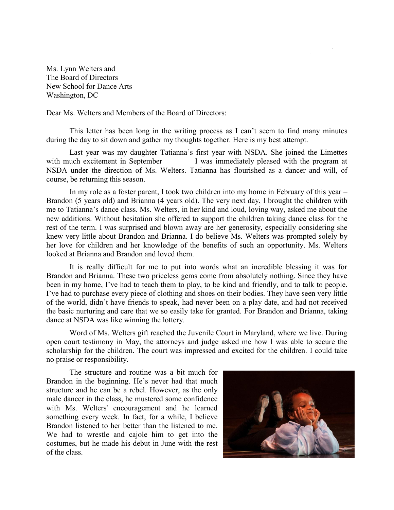Ms. Lynn Welters and The Board of Directors New School for Dance Arts Washington, DC

Dear Ms. Welters and Members of the Board of Directors:

This letter has been long in the writing process as I can't seem to find many minutes during the day to sit down and gather my thoughts together. Here is my best attempt.

Last year was my daughter Tatianna's first year with NSDA. She joined the Limettes with much excitement in September I was immediately pleased with the program at NSDA under the direction of Ms. Welters. Tatianna has flourished as a dancer and will, of course, be returning this season.

In my role as a foster parent, I took two children into my home in February of this year – Brandon (5 years old) and Brianna (4 years old). The very next day, I brought the children with me to Tatianna's dance class. Ms. Welters, in her kind and loud, loving way, asked me about the new additions. Without hesitation she offered to support the children taking dance class for the rest of the term. I was surprised and blown away are her generosity, especially considering she knew very little about Brandon and Brianna. I do believe Ms. Welters was prompted solely by her love for children and her knowledge of the benefits of such an opportunity. Ms. Welters looked at Brianna and Brandon and loved them.

It is really difficult for me to put into words what an incredible blessing it was for Brandon and Brianna. These two priceless gems come from absolutely nothing. Since they have been in my home, I've had to teach them to play, to be kind and friendly, and to talk to people. I've had to purchase every piece of clothing and shoes on their bodies. They have seen very little of the world, didn't have friends to speak, had never been on a play date, and had not received the basic nurturing and care that we so easily take for granted. For Brandon and Brianna, taking dance at NSDA was like winning the lottery.

Word of Ms. Welters gift reached the Juvenile Court in Maryland, where we live. During open court testimony in May, the attorneys and judge asked me how I was able to secure the scholarship for the children. The court was impressed and excited for the children. I could take no praise or responsibility.

The structure and routine was a bit much for Brandon in the beginning. He's never had that much structure and he can be a rebel. However, as the only male dancer in the class, he mustered some confidence with Ms. Welters' encouragement and he learned something every week. In fact, for a while, I believe Brandon listened to her better than the listened to me. We had to wrestle and cajole him to get into the costumes, but he made his debut in June with the rest of the class.